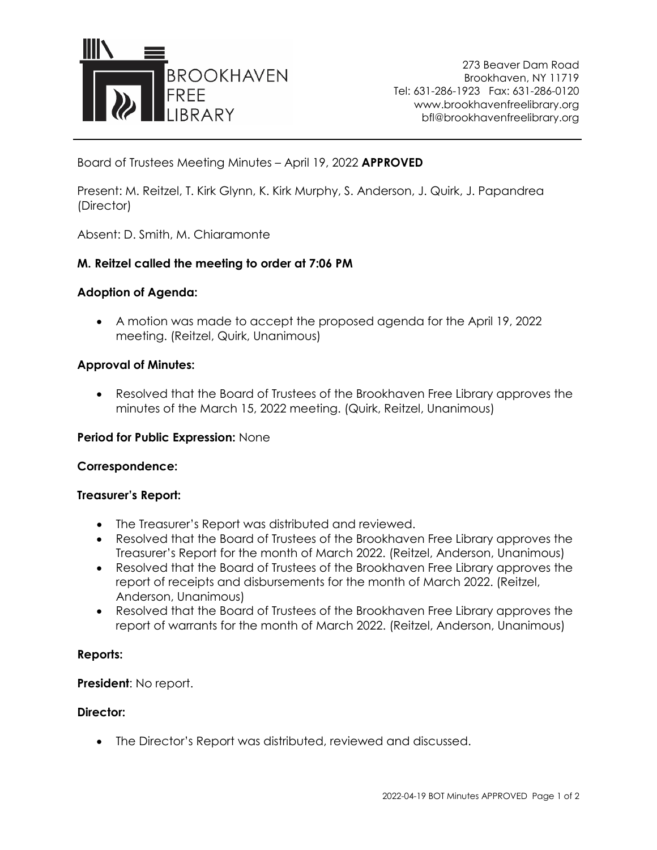

273 Beaver Dam Road Brookhaven, NY 11719 Tel: 631-286-1923 Fax: 631-286-0120 www.brookhavenfreelibrary.org bfl@brookhavenfreelibrary.org

Board of Trustees Meeting Minutes – April 19, 2022 **APPROVED**

Present: M. Reitzel, T. Kirk Glynn, K. Kirk Murphy, S. Anderson, J. Quirk, J. Papandrea (Director)

Absent: D. Smith, M. Chiaramonte

# **M. Reitzel called the meeting to order at 7:06 PM**

# **Adoption of Agenda:**

• A motion was made to accept the proposed agenda for the April 19, 2022 meeting. (Reitzel, Quirk, Unanimous)

## **Approval of Minutes:**

• Resolved that the Board of Trustees of the Brookhaven Free Library approves the minutes of the March 15, 2022 meeting. (Quirk, Reitzel, Unanimous)

### **Period for Public Expression:** None

### **Correspondence:**

### **Treasurer's Report:**

- The Treasurer's Report was distributed and reviewed.
- Resolved that the Board of Trustees of the Brookhaven Free Library approves the Treasurer's Report for the month of March 2022. (Reitzel, Anderson, Unanimous)
- Resolved that the Board of Trustees of the Brookhaven Free Library approves the report of receipts and disbursements for the month of March 2022. (Reitzel, Anderson, Unanimous)
- Resolved that the Board of Trustees of the Brookhaven Free Library approves the report of warrants for the month of March 2022. (Reitzel, Anderson, Unanimous)

### **Reports:**

# **President**: No report.

### **Director:**

• The Director's Report was distributed, reviewed and discussed.